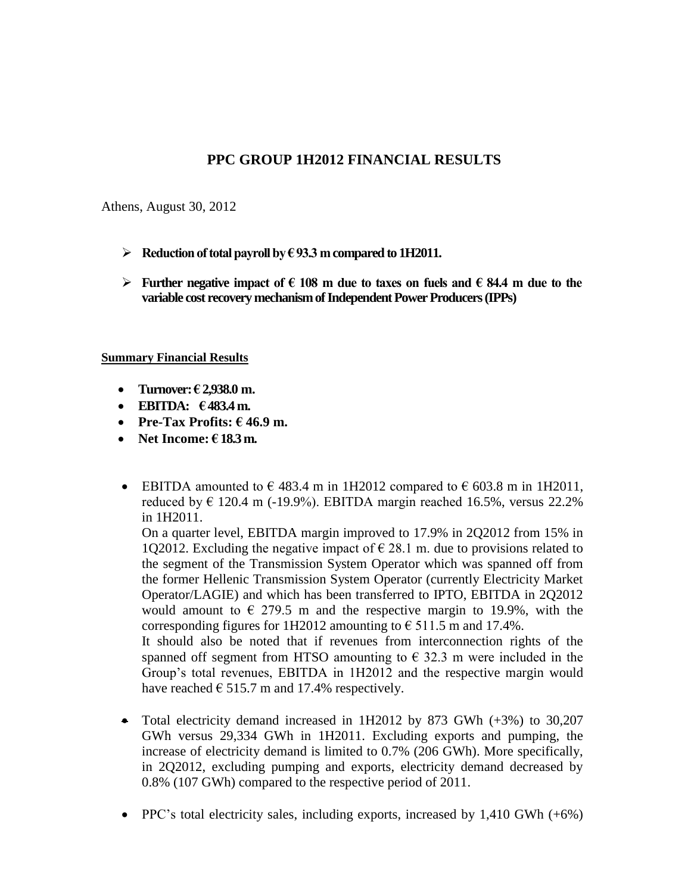### **PPC GROUP 1H2012 FINANCIAL RESULTS**

Athens, August 30, 2012

- $\triangleright$  Reduction of total payroll by  $\epsilon$  93.3 m compared to 1H2011.
- **Further negative impact of**  $\epsilon$  **108 m due to taxes on fuels and**  $\epsilon$  **84.4 m due to the variable cost recovery mechanism of Independent Power Producers (IPPs)**

#### **Summary Financial Results**

- **Turnover: € 2,938.0 m.**
- **EBITDA: € 483.4 m.**
- **•** Pre-Tax Profits:  $\epsilon$  46.9 m.
- **Net Income: € 18.3 m.**
- EBITDA amounted to  $\epsilon$  483.4 m in 1H2012 compared to  $\epsilon$  603.8 m in 1H2011, reduced by  $\epsilon$  120.4 m (-19.9%). EBITDA margin reached 16.5%, versus 22.2% in 1H2011.

On a quarter level, EBITDA margin improved to 17.9% in 2Q2012 from 15% in 1Q2012. Excluding the negative impact of  $\epsilon$  28.1 m. due to provisions related to the segment of the Transmission System Operator which was spanned off from the former Hellenic Transmission System Operator (currently Electricity Market Operator/LAGIE) and which has been transferred to IPTO, EBITDA in 2Q2012 would amount to  $\epsilon$  279.5 m and the respective margin to 19.9%, with the corresponding figures for 1H2012 amounting to  $\epsilon$  511.5 m and 17.4%.

It should also be noted that if revenues from interconnection rights of the spanned off segment from HTSO amounting to  $\epsilon$  32.3 m were included in the Group's total revenues, EBITDA in 1H2012 and the respective margin would have reached  $\epsilon$  515.7 m and 17.4% respectively.

- Total electricity demand increased in 1H2012 by 873 GWh (+3%) to 30,207 GWh versus 29,334 GWh in 1H2011. Εxcluding exports and pumping, the increase of electricity demand is limited to 0.7% (206 GWh). More specifically, in 2Q2012, excluding pumping and exports, electricity demand decreased by 0.8% (107 GWh) compared to the respective period of 2011.
- PPC's total electricity sales, including exports, increased by  $1,410$  GWh  $(+6%)$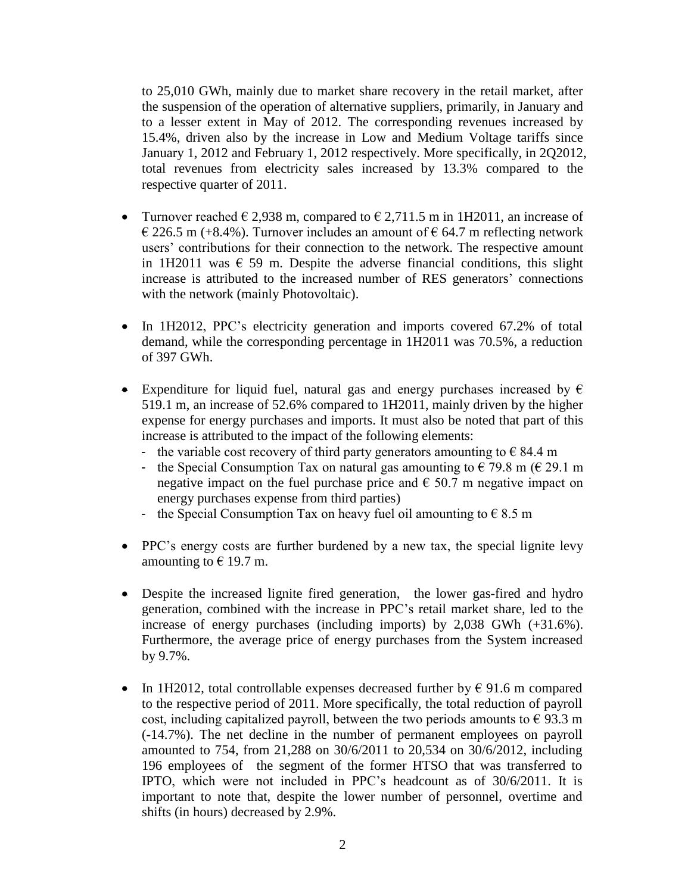to 25,010 GWh, mainly due to market share recovery in the retail market, after the suspension of the operation of alternative suppliers, primarily, in January and to a lesser extent in May of 2012. The corresponding revenues increased by 15.4%, driven also by the increase in Low and Medium Voltage tariffs since January 1, 2012 and February 1, 2012 respectively. More specifically, in 2Q2012, total revenues from electricity sales increased by 13.3% compared to the respective quarter of 2011.

- Turnover reached  $\in$  2,938 m, compared to  $\in$  2,711.5 m in 1H2011, an increase of  $\epsilon$  226.5 m (+8.4%). Turnover includes an amount of  $\epsilon$  64.7 m reflecting network users' contributions for their connection to the network. The respective amount in 1H2011 was  $\epsilon$  59 m. Despite the adverse financial conditions, this slight increase is attributed to the increased number of RES generators' connections with the network (mainly Photovoltaic).
- In 1H2012, PPC's electricity generation and imports covered 67.2% of total demand, while the corresponding percentage in 1H2011 was 70.5%, a reduction of 397 GWh.
- Expenditure for liquid fuel, natural gas and energy purchases increased by  $\epsilon$ 519.1 m, an increase of 52.6% compared to 1H2011, mainly driven by the higher expense for energy purchases and imports. It must also be noted that part of this increase is attributed to the impact of the following elements:
	- the variable cost recovery of third party generators amounting to  $\epsilon$  84.4 m
	- the Special Consumption Tax on natural gas amounting to  $\epsilon$  79.8 m ( $\epsilon$  29.1 m negative impact on the fuel purchase price and  $\epsilon$  50.7 m negative impact on energy purchases expense from third parties)
	- the Special Consumption Tax on heavy fuel oil amounting to  $\epsilon$  8.5 m
- PPC's energy costs are further burdened by a new tax, the special lignite levy amounting to  $\epsilon$  19.7 m.
- Despite the increased lignite fired generation, the lower gas-fired and hydro generation, combined with the increase in PPC's retail market share, led to the increase of energy purchases (including imports) by 2,038 GWh (+31.6%). Furthermore, the average price of energy purchases from the System increased by 9.7%.
- In 1H2012, total controllable expenses decreased further by  $\epsilon$  91.6 m compared to the respective period of 2011. More specifically, the total reduction of payroll cost, including capitalized payroll, between the two periods amounts to  $\epsilon$  93.3 m (-14.7%). Τhe net decline in the number of permanent employees on payroll amounted to 754, from 21,288 on 30/6/2011 to 20,534 on 30/6/2012, including 196 employees of the segment of the former HTSO that was transferred to IPTO, which were not included in PPC's headcount as of 30/6/2011. It is important to note that, despite the lower number of personnel, overtime and shifts (in hours) decreased by 2.9%.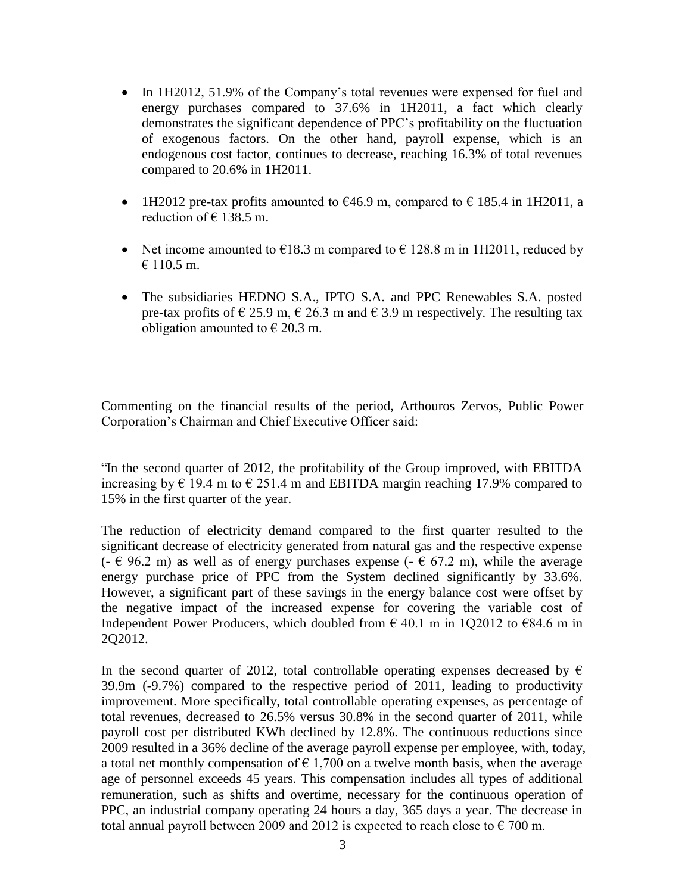- In 1H2012, 51.9% of the Company's total revenues were expensed for fuel and energy purchases compared to 37.6% in 1H2011, a fact which clearly demonstrates the significant dependence of PPC's profitability on the fluctuation of exogenous factors. On the other hand, payroll expense, which is an endogenous cost factor, continues to decrease, reaching 16.3% of total revenues compared to 20.6% in 1H2011.
- 1H2012 pre-tax profits amounted to  $\epsilon$ 46.9 m, compared to  $\epsilon$  185.4 in 1H2011, a reduction of  $\in$  138.5 m.
- Net income amounted to  $\epsilon$ 18.3 m compared to  $\epsilon$  128.8 m in 1H2011, reduced by  $€ 110.5$  m.
- The subsidiaries HEDNO S.A., IPTO S.A. and PPC Renewables S.A. posted pre-tax profits of  $\in$  25.9 m,  $\in$  26.3 m and  $\in$  3.9 m respectively. The resulting tax obligation amounted to  $\in$  20.3 m.

Commenting on the financial results of the period, Arthouros Zervos, Public Power Corporation's Chairman and Chief Executive Officer said:

"In the second quarter of 2012, the profitability of the Group improved, with EBITDA increasing by  $\epsilon$  19.4 m to  $\epsilon$  251.4 m and EBITDA margin reaching 17.9% compared to 15% in the first quarter of the year.

The reduction of electricity demand compared to the first quarter resulted to the significant decrease of electricity generated from natural gas and the respective expense  $(-6.96.2 \text{ m})$  as well as of energy purchases expense  $(-6.67.2 \text{ m})$ , while the average energy purchase price of PPC from the System declined significantly by 33.6%. However, a significant part of these savings in the energy balance cost were offset by the negative impact of the increased expense for covering the variable cost of Independent Power Producers, which doubled from  $\epsilon$  40.1 m in 1Q2012 to  $\epsilon$ 84.6 m in 2Q2012.

In the second quarter of 2012, total controllable operating expenses decreased by  $\epsilon$ 39.9m (-9.7%) compared to the respective period of 2011, leading to productivity improvement. More specifically, total controllable operating expenses, as percentage of total revenues, decreased to 26.5% versus 30.8% in the second quarter of 2011, while payroll cost per distributed KWh declined by 12.8%. The continuous reductions since 2009 resulted in a 36% decline of the average payroll expense per employee, with, today, a total net monthly compensation of  $\epsilon$  1,700 on a twelve month basis, when the average age of personnel exceeds 45 years. This compensation includes all types of additional remuneration, such as shifts and overtime, necessary for the continuous operation of PPC, an industrial company operating 24 hours a day, 365 days a year. The decrease in total annual payroll between 2009 and 2012 is expected to reach close to  $\epsilon$  700 m.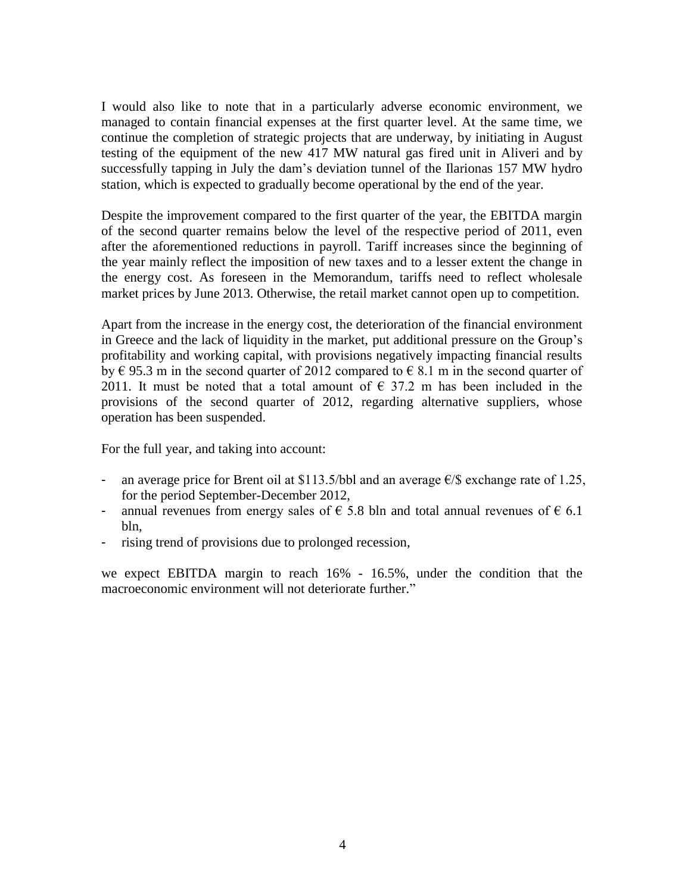I would also like to note that in a particularly adverse economic environment, we managed to contain financial expenses at the first quarter level. At the same time, we continue the completion of strategic projects that are underway, by initiating in August testing of the equipment of the new 417 MW natural gas fired unit in Aliveri and by successfully tapping in July the dam's deviation tunnel of the Ilarionas 157 MW hydro station, which is expected to gradually become operational by the end of the year.

Despite the improvement compared to the first quarter of the year, the EBITDA margin of the second quarter remains below the level of the respective period of 2011, even after the aforementioned reductions in payroll. Tariff increases since the beginning of the year mainly reflect the imposition of new taxes and to a lesser extent the change in the energy cost. As foreseen in the Memorandum, tariffs need to reflect wholesale market prices by June 2013. Otherwise, the retail market cannot open up to competition.

Apart from the increase in the energy cost, the deterioration of the financial environment in Greece and the lack of liquidity in the market, put additional pressure on the Group's profitability and working capital, with provisions negatively impacting financial results by  $\epsilon$  95.3 m in the second quarter of 2012 compared to  $\epsilon$  8.1 m in the second quarter of 2011. It must be noted that a total amount of  $\epsilon$  37.2 m has been included in the provisions of the second quarter of 2012, regarding alternative suppliers, whose operation has been suspended.

For the full year, and taking into account:

- an average price for Brent oil at \$113.5/bbl and an average  $\epsilon$ /\$ exchange rate of 1.25, for the period September-December 2012,
- annual revenues from energy sales of  $\epsilon$  5.8 bln and total annual revenues of  $\epsilon$  6.1 bln,
- rising trend of provisions due to prolonged recession,

we expect EBITDA margin to reach 16% - 16.5%, under the condition that the macroeconomic environment will not deteriorate further."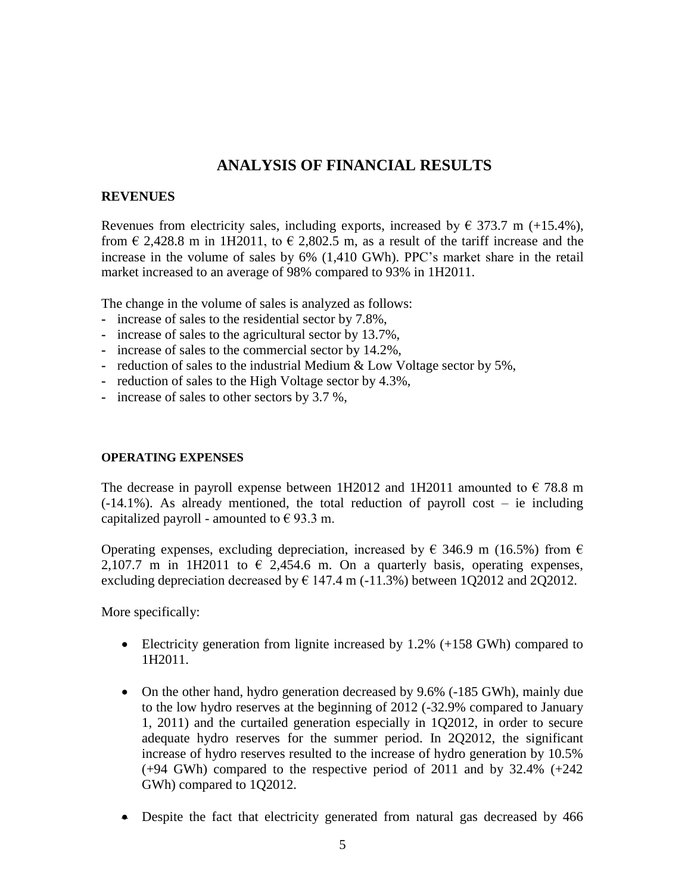# **ANALYSIS OF FINANCIAL RESULTS**

#### **REVENUES**

Revenues from electricity sales, including exports, increased by  $\epsilon$  373.7 m (+15.4%), from  $\epsilon$  2,428.8 m in 1H2011, to  $\epsilon$  2,802.5 m, as a result of the tariff increase and the increase in the volume of sales by 6% (1,410 GWh). PPC's market share in the retail market increased to an average of 98% compared to 93% in 1H2011.

The change in the volume of sales is analyzed as follows:

- **-** increase of sales to the residential sector by 7.8%,
- **-** increase of sales to the agricultural sector by 13.7%,
- **-** increase of sales to the commercial sector by 14.2%,
- **-** reduction of sales to the industrial Medium & Low Voltage sector by 5%,
- **-** reduction of sales to the High Voltage sector by 4.3%,
- **-** increase of sales to other sectors by 3.7 %,

#### **OPERATING EXPENSES**

The decrease in payroll expense between 1H2012 and 1H2011 amounted to  $\epsilon$  78.8 m  $(-14.1\%)$ . As already mentioned, the total reduction of payroll cost – ie including capitalized payroll - amounted to  $\epsilon$  93.3 m.

Operating expenses, excluding depreciation, increased by  $\in$  346.9 m (16.5%) from  $\in$ 2,107.7 m in 1H2011 to  $\epsilon$  2,454.6 m. On a quarterly basis, operating expenses, excluding depreciation decreased by  $\epsilon$  147.4 m (-11.3%) between 1Q2012 and 2Q2012.

More specifically:

- Electricity generation from lignite increased by 1.2% (+158 GWh) compared to 1H2011.
- On the other hand, hydro generation decreased by 9.6% (-185 GWh), mainly due to the low hydro reserves at the beginning of 2012 (-32.9% compared to January 1, 2011) and the curtailed generation especially in 1Q2012, in order to secure adequate hydro reserves for the summer period. In 2Q2012, the significant increase of hydro reserves resulted to the increase of hydro generation by 10.5% (+94 GWh) compared to the respective period of 2011 and by 32.4% (+242 GWh) compared to 1Q2012.
- Despite the fact that electricity generated from natural gas decreased by 466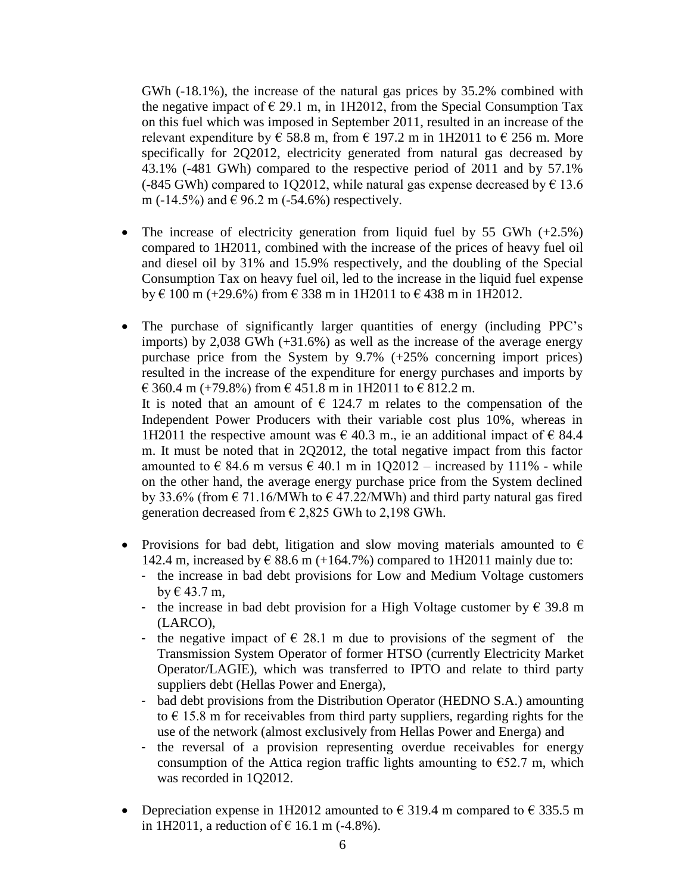GWh (-18.1%), the increase of the natural gas prices by 35.2% combined with the negative impact of  $\epsilon$  29.1 m, in 1H2012, from the Special Consumption Tax on this fuel which was imposed in September 2011, resulted in an increase of the relevant expenditure by  $\epsilon$  58.8 m, from  $\epsilon$  197.2 m in 1H2011 to  $\epsilon$  256 m. More specifically for 2Q2012, electricity generated from natural gas decreased by 43.1% (-481 GWh) compared to the respective period of 2011 and by 57.1% (-845 GWh) compared to 1Q2012, while natural gas expense decreased by  $\epsilon$  13.6 m (-14.5%) and  $\in$  96.2 m (-54.6%) respectively.

- The increase of electricity generation from liquid fuel by 55 GWh  $(+2.5\%)$ compared to 1H2011, combined with the increase of the prices of heavy fuel oil and diesel oil by 31% and 15.9% respectively, and the doubling of the Special Consumption Tax on heavy fuel oil, led to the increase in the liquid fuel expense by € 100 m (+29.6%) from € 338 m in 1H2011 to € 438 m in 1H2012.
- The purchase of significantly larger quantities of energy (including PPC's imports) by 2,038 GWh (+31.6%) as well as the increase of the average energy purchase price from the System by 9.7% (+25% concerning import prices) resulted in the increase of the expenditure for energy purchases and imports by  $\in$  360.4 m (+79.8%) from  $\in$  451.8 m in 1H2011 to  $\in$  812.2 m. It is noted that an amount of  $\epsilon$  124.7 m relates to the compensation of the Independent Power Producers with their variable cost plus 10%, whereas in 1H2011 the respective amount was  $\epsilon$  40.3 m., ie an additional impact of  $\epsilon$  84.4 m. It must be noted that in 2Q2012, the total negative impact from this factor amounted to  $\epsilon$  84.6 m versus  $\epsilon$  40.1 m in 1Q2012 – increased by 111% - while on the other hand, the average energy purchase price from the System declined by 33.6% (from  $\epsilon$  71.16/MWh to  $\epsilon$  47.22/MWh) and third party natural gas fired generation decreased from  $\epsilon$  2,825 GWh to 2,198 GWh.
- Provisions for bad debt, litigation and slow moving materials amounted to  $\epsilon$ 142.4 m, increased by  $\epsilon$  88.6 m (+164.7%) compared to 1H2011 mainly due to:
	- the increase in bad debt provisions for Low and Medium Voltage customers by  $\in$  43.7 m,
	- the increase in bad debt provision for a High Voltage customer by  $\epsilon$  39.8 m (LARCO),
	- the negative impact of  $\in$  28.1 m due to provisions of the segment of the Transmission System Operator of former HTSO (currently Electricity Market Operator/LAGIE), which was transferred to IPTO and relate to third party suppliers debt (Hellas Power and Energa),
	- bad debt provisions from the Distribution Operator (HEDNO S.A.) amounting to  $\epsilon$  15.8 m for receivables from third party suppliers, regarding rights for the use of the network (almost exclusively from Hellas Power and Energa) and
	- the reversal of a provision representing overdue receivables for energy consumption of the Attica region traffic lights amounting to  $\epsilon$ 52.7 m, which was recorded in 1Q2012.
- Depreciation expense in 1H2012 amounted to  $\epsilon$  319.4 m compared to  $\epsilon$  335.5 m in 1H2011, a reduction of € 16.1 m  $(-4.8\%)$ .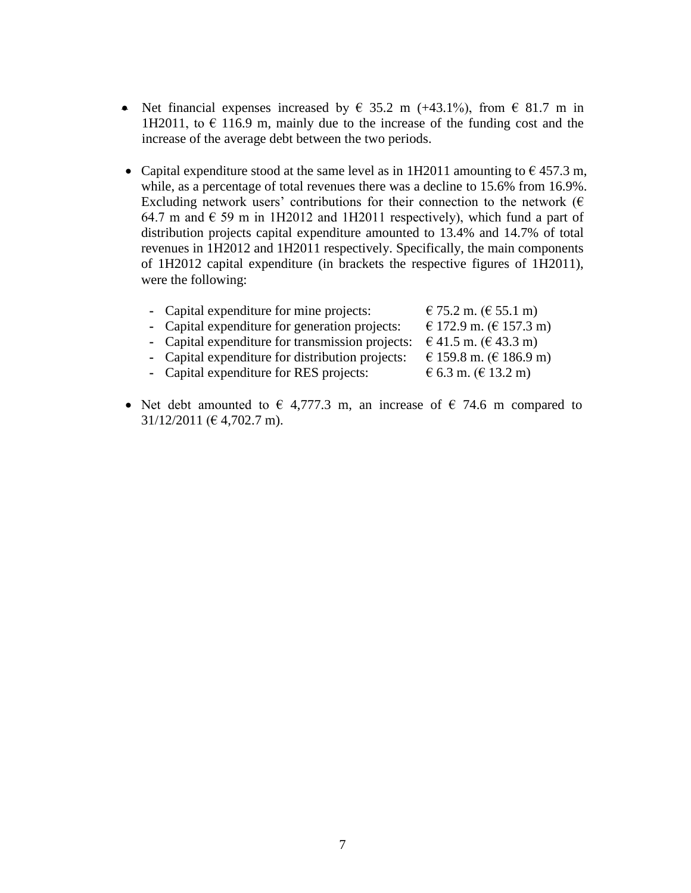- Net financial expenses increased by  $\in$  35.2 m (+43.1%), from  $\in$  81.7 m in 1H2011, to  $\epsilon$  116.9 m, mainly due to the increase of the funding cost and the increase of the average debt between the two periods.
- Capital expenditure stood at the same level as in 1H2011 amounting to  $\epsilon$  457.3 m, while, as a percentage of total revenues there was a decline to 15.6% from 16.9%. Excluding network users' contributions for their connection to the network ( $\epsilon$ ) 64.7 m and  $\epsilon$  59 m in 1H2012 and 1H2011 respectively), which fund a part of distribution projects capital expenditure amounted to 13.4% and 14.7% of total revenues in 1H2012 and 1H2011 respectively. Specifically, the main components of 1H2012 capital expenditure (in brackets the respective figures of 1H2011), were the following:

| € 172.9 m. (€ 157.3 m)<br>- Capital expenditure for generation projects:<br>- Capital expenditure for transmission projects:<br>€ 41.5 m. (€ 43.3 m)<br>€ 159.8 m. (€ 186.9 m)<br>- Capital expenditure for distribution projects:<br>- Capital expenditure for RES projects:<br>€ 6.3 m. (€ 13.2 m) | - Capital expenditure for mine projects: | € 75.2 m. (€ 55.1 m) |
|------------------------------------------------------------------------------------------------------------------------------------------------------------------------------------------------------------------------------------------------------------------------------------------------------|------------------------------------------|----------------------|
|                                                                                                                                                                                                                                                                                                      |                                          |                      |
|                                                                                                                                                                                                                                                                                                      |                                          |                      |
|                                                                                                                                                                                                                                                                                                      |                                          |                      |
|                                                                                                                                                                                                                                                                                                      |                                          |                      |
|                                                                                                                                                                                                                                                                                                      |                                          |                      |

• Net debt amounted to  $\epsilon$  4,777.3 m, an increase of  $\epsilon$  74.6 m compared to 31/12/2011 (€ 4,702.7 m).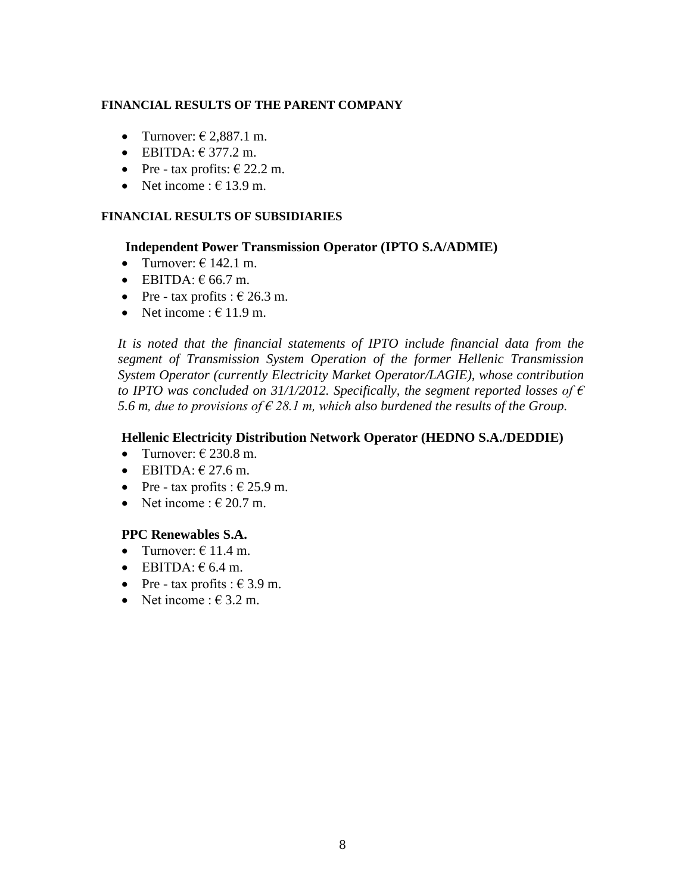#### **FINANCIAL RESULTS OF THE PARENT COMPANY**

- Turnover:  $\in$  2,887.1 m.
- $\bullet$  EBITDA:  $\epsilon$  377.2 m.
- Pre tax profits:  $\in$  22.2 m.
- Net income :  $\in$  13.9 m.

### **FINANCIAL RESULTS OF SUBSIDIARIES**

#### **Independent Power Transmission Operator (IPTO S.A/ADMIE)**

- Turnover:  $\in$  142.1 m.
- $\bullet$  EBITDA:  $\epsilon$  66.7 m.
- Pre tax profits :  $\epsilon$  26.3 m.
- Net income :  $\in$  11.9 m.

*It is noted that the financial statements of IPTO include financial data from the segment of Transmission System Operation of the former Hellenic Transmission System Operator (currently Electricity Market Operator/LAGIE), whose contribution to IPTO was concluded on 31/1/2012. Specifically, the segment reported losses of*  $\epsilon$ 5.6 *m, due to provisions of*  $\epsilon$  *28.1 m, which also burdened the results of the Group.* 

#### **Hellenic Electricity Distribution Network Operator (HEDNO S.A./DEDDIE)**

- Turnover:  $\in$  230.8 m.
- $\bullet$  EBITDA:  $\in$  27.6 m.
- Pre tax profits :  $\epsilon$  25.9 m.
- Net income  $\cdot \in 20.7$  m.

### **PPC Renewables S.A.**

- Turnover:  $\in$  11.4 m.
- $\bullet$  EBITDA:  $\epsilon$  6.4 m.
- Pre tax profits :  $\in$  3.9 m.
- Net income :  $\in$  3.2 m.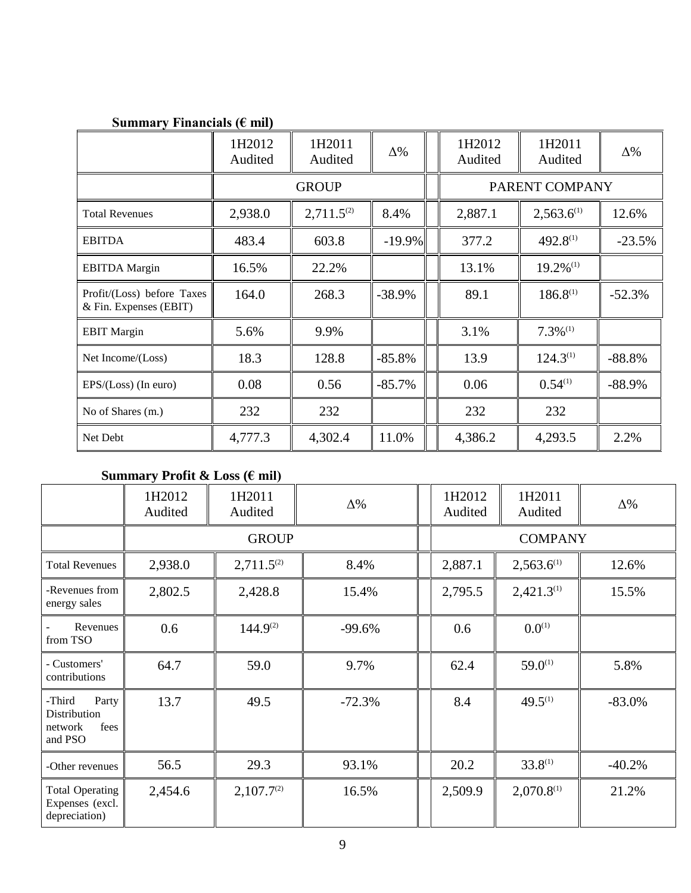# **Summary Financials (€ mil)**

|                                                      | 1H2012<br>Audited | 1H2011<br>Audited | $\Delta\%$     |  | 1H2012<br>Audited | 1H2011<br>Audited       | $\Delta\%$ |
|------------------------------------------------------|-------------------|-------------------|----------------|--|-------------------|-------------------------|------------|
|                                                      |                   | <b>GROUP</b>      | PARENT COMPANY |  |                   |                         |            |
| <b>Total Revenues</b>                                | 2,938.0           | $2,711.5^{(2)}$   | 8.4%           |  | 2,887.1           | $2,563.6^{(1)}$         | 12.6%      |
| <b>EBITDA</b>                                        | 483.4             | 603.8             | $-19.9%$       |  | 377.2             | $492.8^{(1)}$           | $-23.5%$   |
| <b>EBITDA</b> Margin                                 | 16.5%             | 22.2%             |                |  | 13.1%             | $19.2\%$ <sup>(1)</sup> |            |
| Profit/(Loss) before Taxes<br>& Fin. Expenses (EBIT) | 164.0             | 268.3             | $-38.9%$       |  | 89.1              | $186.8^{(1)}$           | $-52.3%$   |
| <b>EBIT Margin</b>                                   | 5.6%              | 9.9%              |                |  | 3.1%              | $7.3\%$ <sup>(1)</sup>  |            |
| Net Income/(Loss)                                    | 18.3              | 128.8             | $-85.8%$       |  | 13.9              | $124.3^{(1)}$           | $-88.8%$   |
| $EPS/(Loss)$ (In euro)                               | 0.08              | 0.56              | $-85.7%$       |  | 0.06              | $0.54^{(1)}$            | $-88.9%$   |
| No of Shares (m.)                                    | 232               | 232               |                |  | 232               | 232                     |            |
| Net Debt                                             | 4,777.3           | 4,302.4           | 11.0%          |  | 4,386.2           | 4,293.5                 | 2.2%       |

## **Summary Profit & Loss (€ mil)**

|                                                               | 1H2012<br>Audited | 1H2011<br>Audited | $\Delta\%$ | 1H2012<br>Audited | 1H2011<br>Audited | $\Delta\%$ |  |
|---------------------------------------------------------------|-------------------|-------------------|------------|-------------------|-------------------|------------|--|
|                                                               |                   | <b>GROUP</b>      |            |                   | <b>COMPANY</b>    |            |  |
| <b>Total Revenues</b>                                         | 2,938.0           | $2,711.5^{(2)}$   | 8.4%       | 2,887.1           | $2,563.6^{(1)}$   | 12.6%      |  |
| -Revenues from<br>energy sales                                | 2,802.5           | 2,428.8           | 15.4%      | 2,795.5           | $2,421.3^{(1)}$   | 15.5%      |  |
| Revenues<br>from TSO                                          | 0.6               | $144.9^{(2)}$     | $-99.6%$   | 0.6               | $0.0^{(1)}$       |            |  |
| - Customers'<br>contributions                                 | 64.7              | 59.0              | 9.7%       | 62.4              | $59.0^{(1)}$      | 5.8%       |  |
| -Third<br>Party<br>Distribution<br>fees<br>network<br>and PSO | 13.7              | 49.5              | $-72.3%$   | 8.4               | $49.5^{(1)}$      | $-83.0%$   |  |
| -Other revenues                                               | 56.5              | 29.3              | 93.1%      | 20.2              | $33.8^{(1)}$      | $-40.2%$   |  |
| <b>Total Operating</b><br>Expenses (excl.<br>depreciation)    | 2,454.6           | $2,107.7^{(2)}$   | 16.5%      | 2,509.9           | $2,070.8^{(1)}$   | 21.2%      |  |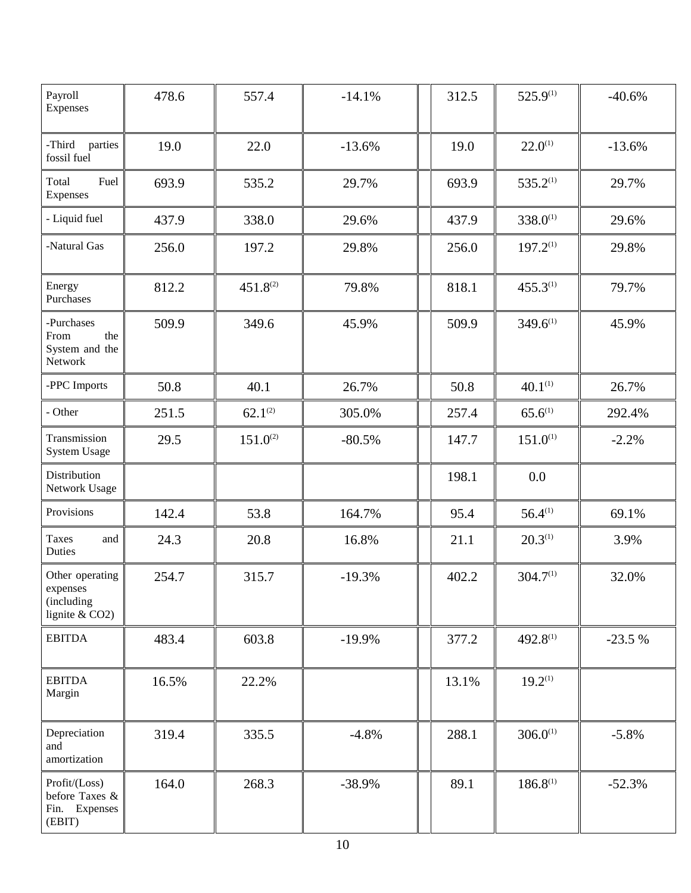| Payroll<br>Expenses                                           | 478.6 | 557.4         | $-14.1%$ | 312.5 | $525.9^{(1)}$        | $-40.6%$ |
|---------------------------------------------------------------|-------|---------------|----------|-------|----------------------|----------|
| -Third<br>parties<br>fossil fuel                              | 19.0  | 22.0          | $-13.6%$ | 19.0  | $22.0^{(1)}$         | $-13.6%$ |
| Fuel<br>Total<br>Expenses                                     | 693.9 | 535.2         | 29.7%    | 693.9 | $535.2^{(1)}$        | 29.7%    |
| - Liquid fuel                                                 | 437.9 | 338.0         | 29.6%    | 437.9 | $338.0^{(1)}$        | 29.6%    |
| -Natural Gas                                                  | 256.0 | 197.2         | 29.8%    | 256.0 | $197.2^{(1)}$        | 29.8%    |
| Energy<br>Purchases                                           | 812.2 | $451.8^{(2)}$ | 79.8%    | 818.1 | $455.3^{(1)}$        | 79.7%    |
| -Purchases<br>the<br>From<br>System and the<br>Network        | 509.9 | 349.6         | 45.9%    | 509.9 | $349.6^{(1)}$        | 45.9%    |
| -PPC Imports                                                  | 50.8  | 40.1          | 26.7%    | 50.8  | $40.1^{(1)}$         | 26.7%    |
| - Other                                                       | 251.5 | $62.1^{(2)}$  | 305.0%   | 257.4 | $65.6^{(1)}$         | 292.4%   |
| Transmission<br><b>System Usage</b>                           | 29.5  | $151.0^{(2)}$ | $-80.5%$ | 147.7 | $151.0^{(1)}$        | $-2.2%$  |
| Distribution<br>Network Usage                                 |       |               |          | 198.1 | 0.0                  |          |
| Provisions                                                    | 142.4 | 53.8          | 164.7%   | 95.4  | $56.4^{(1)}$         | 69.1%    |
| <b>Taxes</b><br>and<br>Duties                                 | 24.3  | 20.8          | 16.8%    | 21.1  | $20.3^{(1)}$         | 3.9%     |
| Other operating<br>expenses<br>(including<br>lignite $&$ CO2) | 254.7 | 315.7         | $-19.3%$ | 402.2 | 304.7 <sup>(1)</sup> | 32.0%    |
| <b>EBITDA</b>                                                 | 483.4 | 603.8         | $-19.9%$ | 377.2 | $492.8^{(1)}$        | $-23.5%$ |
| <b>EBITDA</b><br>Margin                                       | 16.5% | 22.2%         |          | 13.1% | $19.2^{(1)}$         |          |
| Depreciation<br>and<br>amortization                           | 319.4 | 335.5         | $-4.8%$  | 288.1 | $306.0^{(1)}$        | $-5.8%$  |
| Profit/(Loss)<br>before Taxes &<br>Fin. Expenses<br>(EBIT)    | 164.0 | 268.3         | $-38.9%$ | 89.1  | $186.8^{(1)}$        | $-52.3%$ |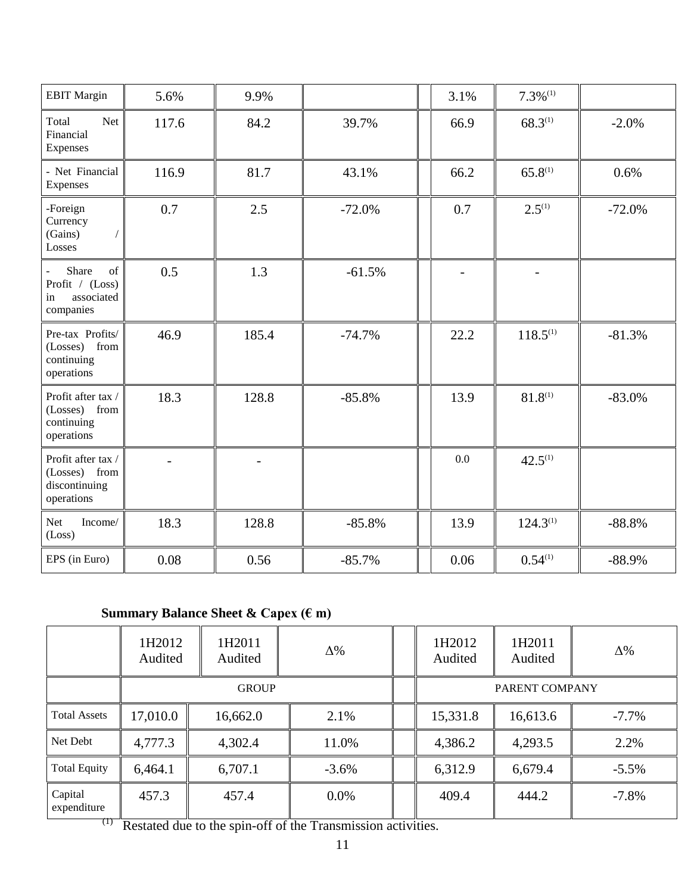| <b>EBIT Margin</b>                                                 | 5.6%  | 9.9%  |          | 3.1% | $7.3\%$ <sup>(1)</sup> |          |
|--------------------------------------------------------------------|-------|-------|----------|------|------------------------|----------|
| Total<br>Net<br>Financial<br>Expenses                              | 117.6 | 84.2  | 39.7%    | 66.9 | $68.3^{(1)}$           | $-2.0%$  |
| - Net Financial<br>Expenses                                        | 116.9 | 81.7  | 43.1%    | 66.2 | $65.8^{(1)}$           | 0.6%     |
| -Foreign<br>Currency<br>(Gains)<br>Losses                          | 0.7   | 2.5   | $-72.0%$ | 0.7  | $2.5^{(1)}$            | $-72.0%$ |
| Share<br>of<br>Profit / (Loss)<br>associated<br>in<br>companies    | 0.5   | 1.3   | $-61.5%$ |      |                        |          |
| Pre-tax Profits/<br>(Losses) from<br>continuing<br>operations      | 46.9  | 185.4 | $-74.7%$ | 22.2 | $118.5^{(1)}$          | $-81.3%$ |
| Profit after tax /<br>(Losses) from<br>continuing<br>operations    | 18.3  | 128.8 | $-85.8%$ | 13.9 | $81.8^{(1)}$           | $-83.0%$ |
| Profit after tax /<br>(Losses) from<br>discontinuing<br>operations |       |       |          | 0.0  | $42.5^{(1)}$           |          |
| Net<br>Income/<br>(Loss)                                           | 18.3  | 128.8 | $-85.8%$ | 13.9 | $124.3^{(1)}$          | $-88.8%$ |
| EPS (in Euro)                                                      | 0.08  | 0.56  | $-85.7%$ | 0.06 | $0.54^{(1)}$           | $-88.9%$ |

# **Summary Balance Sheet & Capex (€ m)**

|                                  | 1H2012<br>Audited                                                                      | 1H2011<br>Audited                  | $\Delta\%$        |          | 1H2012<br>Audited | 1H2011<br>Audited | $\Delta\%$ |
|----------------------------------|----------------------------------------------------------------------------------------|------------------------------------|-------------------|----------|-------------------|-------------------|------------|
|                                  |                                                                                        | <b>GROUP</b>                       |                   |          |                   | PARENT COMPANY    |            |
| <b>Total Assets</b>              | 17,010.0                                                                               | 16,662.0                           | 2.1%              |          | 15,331.8          | 16,613.6          | $-7.7\%$   |
| Net Debt                         | 4,777.3                                                                                | 4,302.4                            | 11.0%             |          | 4,386.2           | 4,293.5           | 2.2%       |
| <b>Total Equity</b>              | 6,464.1                                                                                | 6,707.1                            | $-3.6\%$          |          | 6,312.9           | 6,679.4           | $-5.5\%$   |
| Capital<br>expenditure<br>$\Box$ | 457.3<br>$\mathbf{r}$ $\mathbf{r}$ $\mathbf{r}$ $\mathbf{r}$ $\mathbf{r}$ $\mathbf{r}$ | 457.4<br>$\alpha$ $\alpha$ $\beta$ | $0.0\%$<br>$\sim$ | $\cdots$ | 409.4             | 444.2             | $-7.8%$    |

(1) Restated due to the spin-off of the Transmission activities.